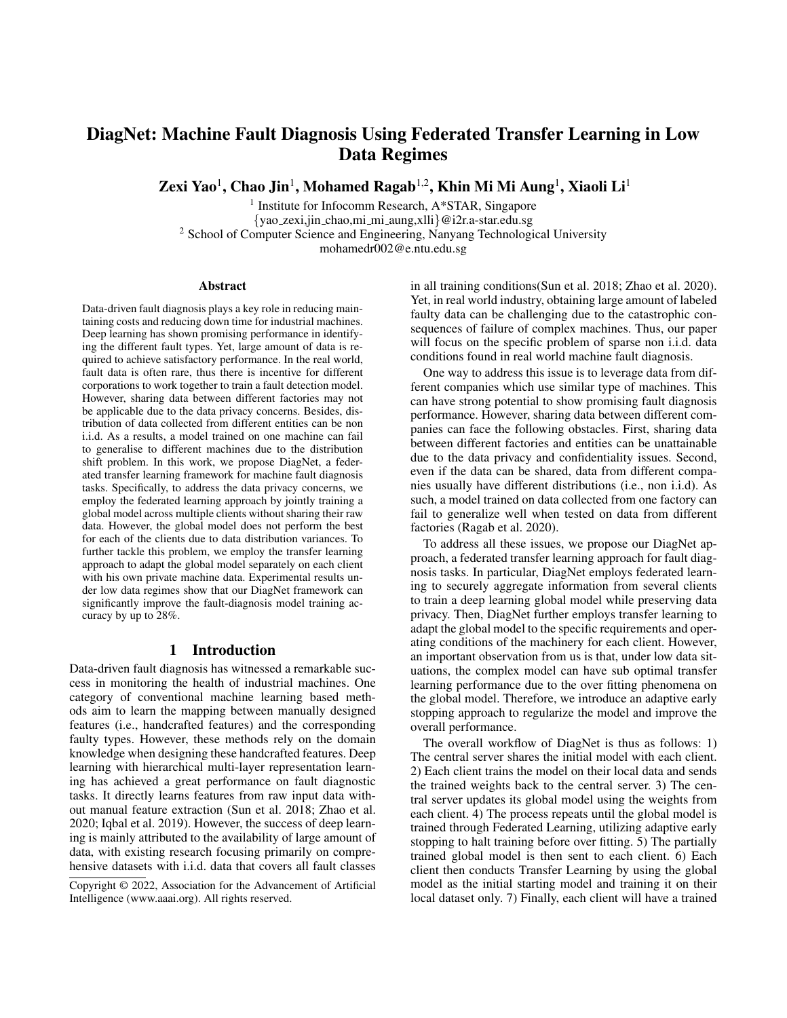# DiagNet: Machine Fault Diagnosis Using Federated Transfer Learning in Low Data Regimes

Zexi Yao $^1$ , Chao Jin $^1$ , Mohamed Ragab $^{1,2}$ , Khin Mi Mi Aung $^1$ , Xiaoli Li $^1$ 

<sup>1</sup> Institute for Infocomm Research, A\*STAR, Singapore {yao zexi,jin chao,mi mi aung,xlli}@i2r.a-star.edu.sg <sup>2</sup> School of Computer Science and Engineering, Nanyang Technological University mohamedr002@e.ntu.edu.sg

#### **Abstract**

Data-driven fault diagnosis plays a key role in reducing maintaining costs and reducing down time for industrial machines. Deep learning has shown promising performance in identifying the different fault types. Yet, large amount of data is required to achieve satisfactory performance. In the real world, fault data is often rare, thus there is incentive for different corporations to work together to train a fault detection model. However, sharing data between different factories may not be applicable due to the data privacy concerns. Besides, distribution of data collected from different entities can be non i.i.d. As a results, a model trained on one machine can fail to generalise to different machines due to the distribution shift problem. In this work, we propose DiagNet, a federated transfer learning framework for machine fault diagnosis tasks. Specifically, to address the data privacy concerns, we employ the federated learning approach by jointly training a global model across multiple clients without sharing their raw data. However, the global model does not perform the best for each of the clients due to data distribution variances. To further tackle this problem, we employ the transfer learning approach to adapt the global model separately on each client with his own private machine data. Experimental results under low data regimes show that our DiagNet framework can significantly improve the fault-diagnosis model training accuracy by up to 28%.

# 1 Introduction

Data-driven fault diagnosis has witnessed a remarkable success in monitoring the health of industrial machines. One category of conventional machine learning based methods aim to learn the mapping between manually designed features (i.e., handcrafted features) and the corresponding faulty types. However, these methods rely on the domain knowledge when designing these handcrafted features. Deep learning with hierarchical multi-layer representation learning has achieved a great performance on fault diagnostic tasks. It directly learns features from raw input data without manual feature extraction (Sun et al. 2018; Zhao et al. 2020; Iqbal et al. 2019). However, the success of deep learning is mainly attributed to the availability of large amount of data, with existing research focusing primarily on comprehensive datasets with i.i.d. data that covers all fault classes

in all training conditions(Sun et al. 2018; Zhao et al. 2020). Yet, in real world industry, obtaining large amount of labeled faulty data can be challenging due to the catastrophic consequences of failure of complex machines. Thus, our paper will focus on the specific problem of sparse non i.i.d. data conditions found in real world machine fault diagnosis.

One way to address this issue is to leverage data from different companies which use similar type of machines. This can have strong potential to show promising fault diagnosis performance. However, sharing data between different companies can face the following obstacles. First, sharing data between different factories and entities can be unattainable due to the data privacy and confidentiality issues. Second, even if the data can be shared, data from different companies usually have different distributions (i.e., non i.i.d). As such, a model trained on data collected from one factory can fail to generalize well when tested on data from different factories (Ragab et al. 2020).

To address all these issues, we propose our DiagNet approach, a federated transfer learning approach for fault diagnosis tasks. In particular, DiagNet employs federated learning to securely aggregate information from several clients to train a deep learning global model while preserving data privacy. Then, DiagNet further employs transfer learning to adapt the global model to the specific requirements and operating conditions of the machinery for each client. However, an important observation from us is that, under low data situations, the complex model can have sub optimal transfer learning performance due to the over fitting phenomena on the global model. Therefore, we introduce an adaptive early stopping approach to regularize the model and improve the overall performance.

The overall workflow of DiagNet is thus as follows: 1) The central server shares the initial model with each client. 2) Each client trains the model on their local data and sends the trained weights back to the central server. 3) The central server updates its global model using the weights from each client. 4) The process repeats until the global model is trained through Federated Learning, utilizing adaptive early stopping to halt training before over fitting. 5) The partially trained global model is then sent to each client. 6) Each client then conducts Transfer Learning by using the global model as the initial starting model and training it on their local dataset only. 7) Finally, each client will have a trained

Copyright © 2022, Association for the Advancement of Artificial Intelligence (www.aaai.org). All rights reserved.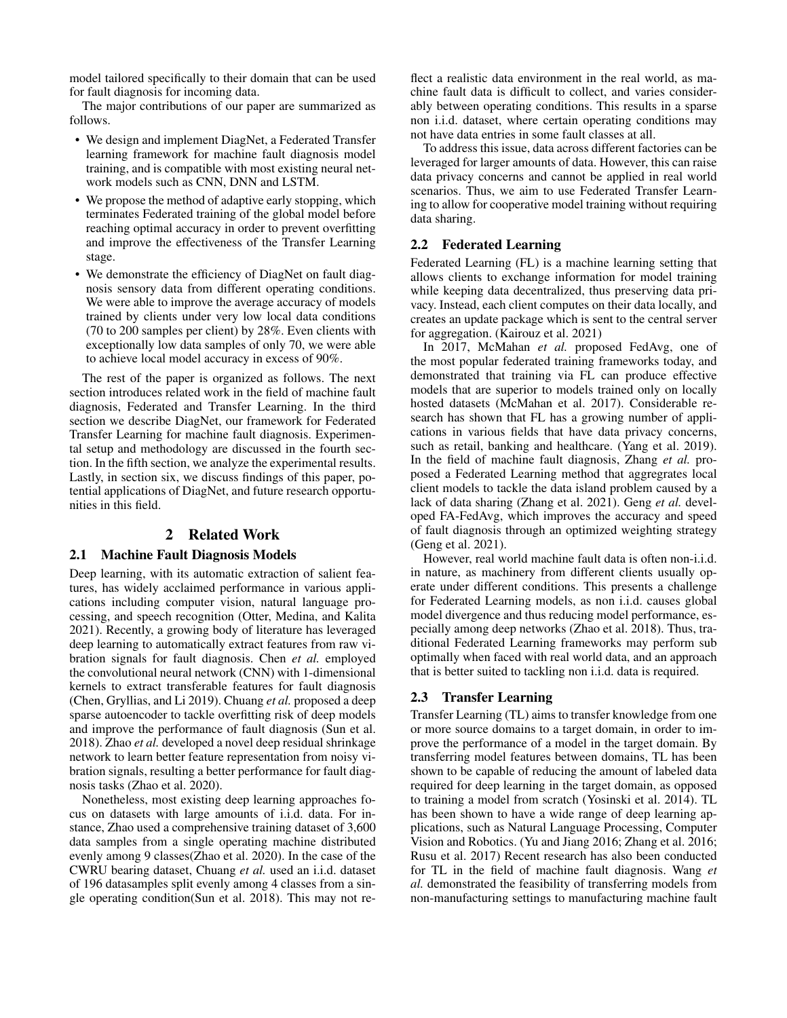model tailored specifically to their domain that can be used for fault diagnosis for incoming data.

The major contributions of our paper are summarized as follows.

- We design and implement DiagNet, a Federated Transfer learning framework for machine fault diagnosis model training, and is compatible with most existing neural network models such as CNN, DNN and LSTM.
- We propose the method of adaptive early stopping, which terminates Federated training of the global model before reaching optimal accuracy in order to prevent overfitting and improve the effectiveness of the Transfer Learning stage.
- We demonstrate the efficiency of DiagNet on fault diagnosis sensory data from different operating conditions. We were able to improve the average accuracy of models trained by clients under very low local data conditions (70 to 200 samples per client) by 28%. Even clients with exceptionally low data samples of only 70, we were able to achieve local model accuracy in excess of 90%.

The rest of the paper is organized as follows. The next section introduces related work in the field of machine fault diagnosis, Federated and Transfer Learning. In the third section we describe DiagNet, our framework for Federated Transfer Learning for machine fault diagnosis. Experimental setup and methodology are discussed in the fourth section. In the fifth section, we analyze the experimental results. Lastly, in section six, we discuss findings of this paper, potential applications of DiagNet, and future research opportunities in this field.

# 2 Related Work

#### 2.1 Machine Fault Diagnosis Models

Deep learning, with its automatic extraction of salient features, has widely acclaimed performance in various applications including computer vision, natural language processing, and speech recognition (Otter, Medina, and Kalita 2021). Recently, a growing body of literature has leveraged deep learning to automatically extract features from raw vibration signals for fault diagnosis. Chen *et al.* employed the convolutional neural network (CNN) with 1-dimensional kernels to extract transferable features for fault diagnosis (Chen, Gryllias, and Li 2019). Chuang *et al.* proposed a deep sparse autoencoder to tackle overfitting risk of deep models and improve the performance of fault diagnosis (Sun et al. 2018). Zhao *et al.* developed a novel deep residual shrinkage network to learn better feature representation from noisy vibration signals, resulting a better performance for fault diagnosis tasks (Zhao et al. 2020).

Nonetheless, most existing deep learning approaches focus on datasets with large amounts of i.i.d. data. For instance, Zhao used a comprehensive training dataset of 3,600 data samples from a single operating machine distributed evenly among 9 classes(Zhao et al. 2020). In the case of the CWRU bearing dataset, Chuang *et al.* used an i.i.d. dataset of 196 datasamples split evenly among 4 classes from a single operating condition(Sun et al. 2018). This may not re-

flect a realistic data environment in the real world, as machine fault data is difficult to collect, and varies considerably between operating conditions. This results in a sparse non i.i.d. dataset, where certain operating conditions may not have data entries in some fault classes at all.

To address this issue, data across different factories can be leveraged for larger amounts of data. However, this can raise data privacy concerns and cannot be applied in real world scenarios. Thus, we aim to use Federated Transfer Learning to allow for cooperative model training without requiring data sharing.

#### 2.2 Federated Learning

Federated Learning (FL) is a machine learning setting that allows clients to exchange information for model training while keeping data decentralized, thus preserving data privacy. Instead, each client computes on their data locally, and creates an update package which is sent to the central server for aggregation. (Kairouz et al. 2021)

In 2017, McMahan *et al.* proposed FedAvg, one of the most popular federated training frameworks today, and demonstrated that training via FL can produce effective models that are superior to models trained only on locally hosted datasets (McMahan et al. 2017). Considerable research has shown that FL has a growing number of applications in various fields that have data privacy concerns, such as retail, banking and healthcare. (Yang et al. 2019). In the field of machine fault diagnosis, Zhang *et al.* proposed a Federated Learning method that aggregrates local client models to tackle the data island problem caused by a lack of data sharing (Zhang et al. 2021). Geng *et al.* developed FA-FedAvg, which improves the accuracy and speed of fault diagnosis through an optimized weighting strategy (Geng et al. 2021).

However, real world machine fault data is often non-i.i.d. in nature, as machinery from different clients usually operate under different conditions. This presents a challenge for Federated Learning models, as non i.i.d. causes global model divergence and thus reducing model performance, especially among deep networks (Zhao et al. 2018). Thus, traditional Federated Learning frameworks may perform sub optimally when faced with real world data, and an approach that is better suited to tackling non i.i.d. data is required.

#### 2.3 Transfer Learning

Transfer Learning (TL) aims to transfer knowledge from one or more source domains to a target domain, in order to improve the performance of a model in the target domain. By transferring model features between domains, TL has been shown to be capable of reducing the amount of labeled data required for deep learning in the target domain, as opposed to training a model from scratch (Yosinski et al. 2014). TL has been shown to have a wide range of deep learning applications, such as Natural Language Processing, Computer Vision and Robotics. (Yu and Jiang 2016; Zhang et al. 2016; Rusu et al. 2017) Recent research has also been conducted for TL in the field of machine fault diagnosis. Wang *et al.* demonstrated the feasibility of transferring models from non-manufacturing settings to manufacturing machine fault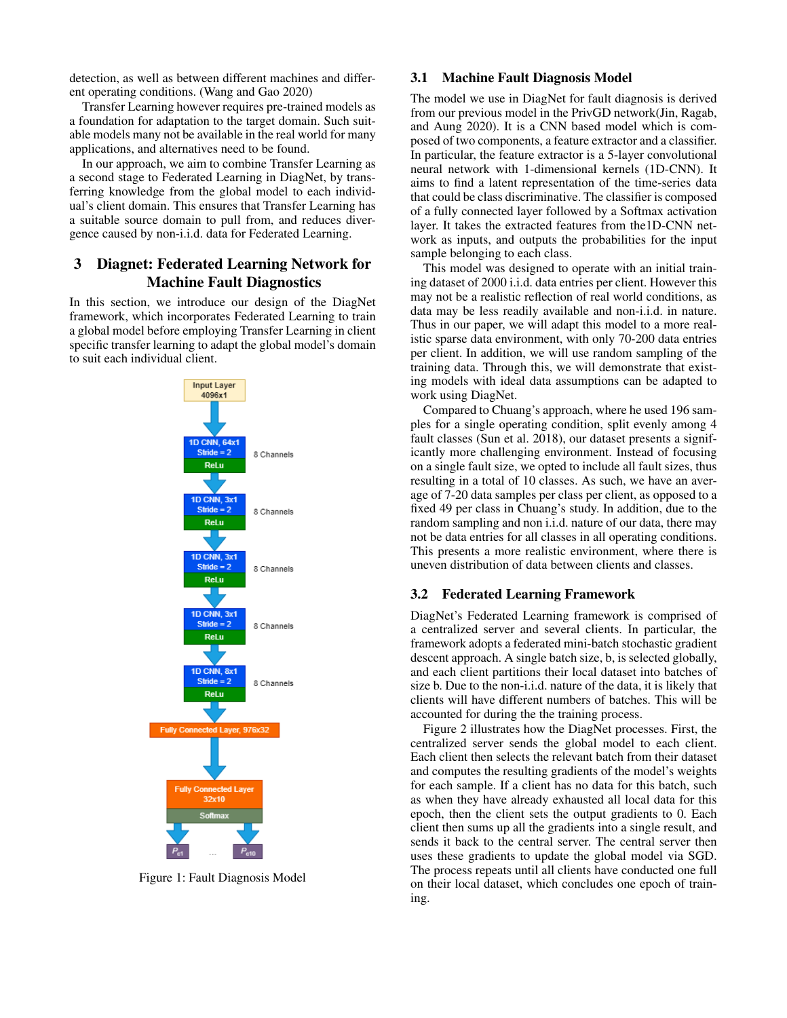detection, as well as between different machines and different operating conditions. (Wang and Gao 2020)

Transfer Learning however requires pre-trained models as a foundation for adaptation to the target domain. Such suitable models many not be available in the real world for many applications, and alternatives need to be found.

In our approach, we aim to combine Transfer Learning as a second stage to Federated Learning in DiagNet, by transferring knowledge from the global model to each individual's client domain. This ensures that Transfer Learning has a suitable source domain to pull from, and reduces divergence caused by non-i.i.d. data for Federated Learning.

# 3 Diagnet: Federated Learning Network for Machine Fault Diagnostics

In this section, we introduce our design of the DiagNet framework, which incorporates Federated Learning to train a global model before employing Transfer Learning in client specific transfer learning to adapt the global model's domain to suit each individual client.



Figure 1: Fault Diagnosis Model

#### 3.1 Machine Fault Diagnosis Model

The model we use in DiagNet for fault diagnosis is derived from our previous model in the PrivGD network(Jin, Ragab, and Aung 2020). It is a CNN based model which is composed of two components, a feature extractor and a classifier. In particular, the feature extractor is a 5-layer convolutional neural network with 1-dimensional kernels (1D-CNN). It aims to find a latent representation of the time-series data that could be class discriminative. The classifier is composed of a fully connected layer followed by a Softmax activation layer. It takes the extracted features from the1D-CNN network as inputs, and outputs the probabilities for the input sample belonging to each class.

This model was designed to operate with an initial training dataset of 2000 i.i.d. data entries per client. However this may not be a realistic reflection of real world conditions, as data may be less readily available and non-i.i.d. in nature. Thus in our paper, we will adapt this model to a more realistic sparse data environment, with only 70-200 data entries per client. In addition, we will use random sampling of the training data. Through this, we will demonstrate that existing models with ideal data assumptions can be adapted to work using DiagNet.

Compared to Chuang's approach, where he used 196 samples for a single operating condition, split evenly among 4 fault classes (Sun et al. 2018), our dataset presents a significantly more challenging environment. Instead of focusing on a single fault size, we opted to include all fault sizes, thus resulting in a total of 10 classes. As such, we have an average of 7-20 data samples per class per client, as opposed to a fixed 49 per class in Chuang's study. In addition, due to the random sampling and non i.i.d. nature of our data, there may not be data entries for all classes in all operating conditions. This presents a more realistic environment, where there is uneven distribution of data between clients and classes.

# 3.2 Federated Learning Framework

DiagNet's Federated Learning framework is comprised of a centralized server and several clients. In particular, the framework adopts a federated mini-batch stochastic gradient descent approach. A single batch size, b, is selected globally, and each client partitions their local dataset into batches of size b. Due to the non-i.i.d. nature of the data, it is likely that clients will have different numbers of batches. This will be accounted for during the the training process.

Figure 2 illustrates how the DiagNet processes. First, the centralized server sends the global model to each client. Each client then selects the relevant batch from their dataset and computes the resulting gradients of the model's weights for each sample. If a client has no data for this batch, such as when they have already exhausted all local data for this epoch, then the client sets the output gradients to 0. Each client then sums up all the gradients into a single result, and sends it back to the central server. The central server then uses these gradients to update the global model via SGD. The process repeats until all clients have conducted one full on their local dataset, which concludes one epoch of training.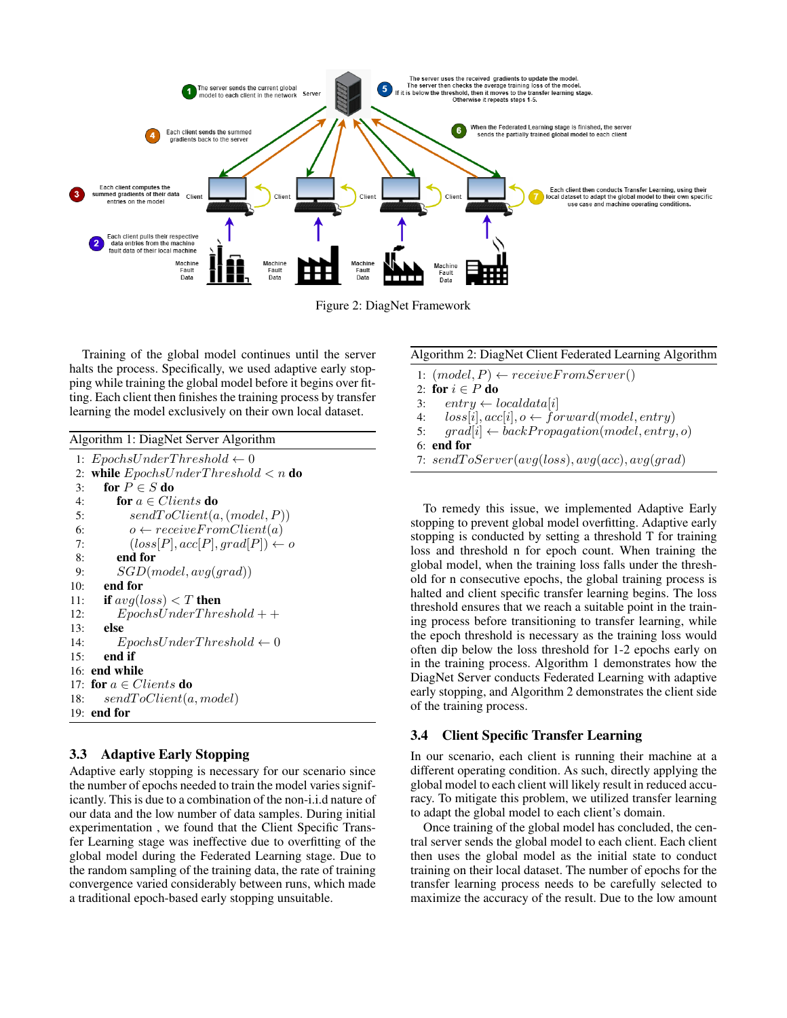

Figure 2: DiagNet Framework

Training of the global model continues until the server halts the process. Specifically, we used adaptive early stopping while training the global model before it begins over fitting. Each client then finishes the training process by transfer learning the model exclusively on their own local dataset.

Algorithm 1: DiagNet Server Algorithm

```
1: EpochsUnderThreshold \leftarrow 02: while EpochsUnderThreshold < n do
3: for P \in S do
4: for a \in Clients do
5: sendToClient(a,(model, P))6: o \leftarrow receiveFromClient(a)7: (loss[P], acc[P], grad[P]) \leftarrow o8: end for
9: SGD(model, avg(grad))10: end for
11: if avg-loss) < T then
12: EpochsUnderThreshold + +13: else
14: EpochsUnderThreshold \leftarrow 015: end if
16: end while
17: for a \in Clients do
18: sendT oClient(a, model)
19: end for
```
#### 3.3 Adaptive Early Stopping

Adaptive early stopping is necessary for our scenario since the number of epochs needed to train the model varies significantly. This is due to a combination of the non-i.i.d nature of our data and the low number of data samples. During initial experimentation , we found that the Client Specific Transfer Learning stage was ineffective due to overfitting of the global model during the Federated Learning stage. Due to the random sampling of the training data, the rate of training convergence varied considerably between runs, which made a traditional epoch-based early stopping unsuitable.

#### Algorithm 2: DiagNet Client Federated Learning Algorithm

1:  $(model, P) \leftarrow receiveFromServer()$ 

- 2: for  $i \in P$  do
- 3: entry  $\leftarrow localdata[i]$
- 4:  $loss[i], acc[i], o \leftarrow forward(model, entry)$
- 5:  $grad[i] \leftarrow backPropagation(model, entry, o)$
- 6: end for
- 7:  $sendToServer(avg(loss), avg(acc), avg(grad)$

To remedy this issue, we implemented Adaptive Early stopping to prevent global model overfitting. Adaptive early stopping is conducted by setting a threshold T for training loss and threshold n for epoch count. When training the global model, when the training loss falls under the threshold for n consecutive epochs, the global training process is halted and client specific transfer learning begins. The loss threshold ensures that we reach a suitable point in the training process before transitioning to transfer learning, while the epoch threshold is necessary as the training loss would often dip below the loss threshold for 1-2 epochs early on in the training process. Algorithm 1 demonstrates how the DiagNet Server conducts Federated Learning with adaptive early stopping, and Algorithm 2 demonstrates the client side of the training process.

#### 3.4 Client Specific Transfer Learning

In our scenario, each client is running their machine at a different operating condition. As such, directly applying the global model to each client will likely result in reduced accuracy. To mitigate this problem, we utilized transfer learning to adapt the global model to each client's domain.

Once training of the global model has concluded, the central server sends the global model to each client. Each client then uses the global model as the initial state to conduct training on their local dataset. The number of epochs for the transfer learning process needs to be carefully selected to maximize the accuracy of the result. Due to the low amount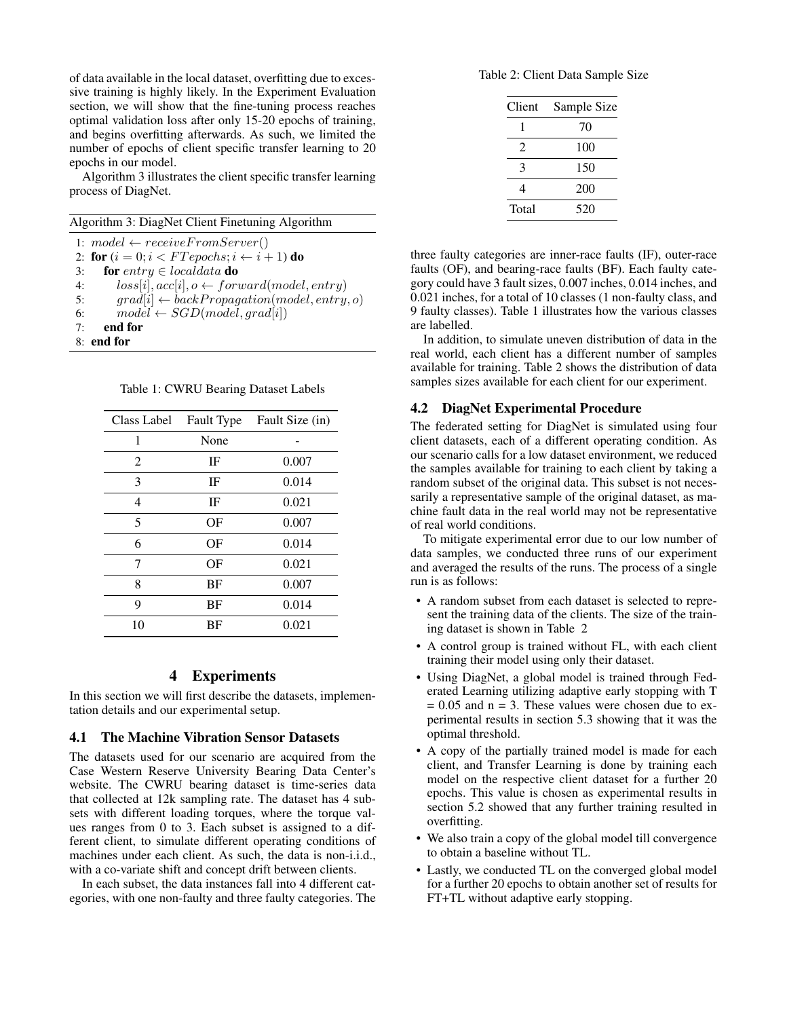of data available in the local dataset, overfitting due to excessive training is highly likely. In the Experiment Evaluation section, we will show that the fine-tuning process reaches optimal validation loss after only 15-20 epochs of training, and begins overfitting afterwards. As such, we limited the number of epochs of client specific transfer learning to 20 epochs in our model.

Algorithm 3 illustrates the client specific transfer learning process of DiagNet.

1:  $model \leftarrow receiveFromServer()$ 

2: for  $(i = 0; i < FT epochs; i \leftarrow i + 1)$  do

3: for entry  $\in$  localdata do

4:  $loss[i], acc[i], o \leftarrow forward(model, entry)$ 

- 5: grad[i]  $\leftarrow$  backPropagation(model, entry, o)
- 6:  $model \leftarrow SGD(model, grad[i])$
- 7: end for

8: end for

Table 1: CWRU Bearing Dataset Labels

| Class Label    | Fault Type | Fault Size (in) |  |
|----------------|------------|-----------------|--|
| 1              | None       |                 |  |
| $\overline{2}$ | IF         | 0.007           |  |
| 3              | IF         | 0.014           |  |
| 4              | IF         | 0.021           |  |
| 5              | ΟF         | 0.007           |  |
| 6              | OF         | 0.014           |  |
| 7              | ΟF         | 0.021           |  |
| 8              | ΒF         | 0.007           |  |
| 9              | ΒF         | 0.014           |  |
| 10             | ΒF         | 0.021           |  |

#### 4 Experiments

In this section we will first describe the datasets, implementation details and our experimental setup.

#### 4.1 The Machine Vibration Sensor Datasets

The datasets used for our scenario are acquired from the Case Western Reserve University Bearing Data Center's website. The CWRU bearing dataset is time-series data that collected at 12k sampling rate. The dataset has 4 subsets with different loading torques, where the torque values ranges from 0 to 3. Each subset is assigned to a different client, to simulate different operating conditions of machines under each client. As such, the data is non-i.i.d., with a co-variate shift and concept drift between clients.

In each subset, the data instances fall into 4 different categories, with one non-faulty and three faulty categories. The

Table 2: Client Data Sample Size

| Client | Sample Size |  |  |
|--------|-------------|--|--|
| 1      | 70          |  |  |
| 2      | 100         |  |  |
| 3      | 150         |  |  |
| 4      | 200         |  |  |
| Total  | 520         |  |  |

three faulty categories are inner-race faults (IF), outer-race faults (OF), and bearing-race faults (BF). Each faulty category could have 3 fault sizes, 0.007 inches, 0.014 inches, and 0.021 inches, for a total of 10 classes (1 non-faulty class, and 9 faulty classes). Table 1 illustrates how the various classes are labelled.

In addition, to simulate uneven distribution of data in the real world, each client has a different number of samples available for training. Table 2 shows the distribution of data samples sizes available for each client for our experiment.

#### 4.2 DiagNet Experimental Procedure

The federated setting for DiagNet is simulated using four client datasets, each of a different operating condition. As our scenario calls for a low dataset environment, we reduced the samples available for training to each client by taking a random subset of the original data. This subset is not necessarily a representative sample of the original dataset, as machine fault data in the real world may not be representative of real world conditions.

To mitigate experimental error due to our low number of data samples, we conducted three runs of our experiment and averaged the results of the runs. The process of a single run is as follows:

- A random subset from each dataset is selected to represent the training data of the clients. The size of the training dataset is shown in Table 2
- A control group is trained without FL, with each client training their model using only their dataset.
- Using DiagNet, a global model is trained through Federated Learning utilizing adaptive early stopping with T  $= 0.05$  and  $n = 3$ . These values were chosen due to experimental results in section 5.3 showing that it was the optimal threshold.
- A copy of the partially trained model is made for each client, and Transfer Learning is done by training each model on the respective client dataset for a further 20 epochs. This value is chosen as experimental results in section 5.2 showed that any further training resulted in overfitting.
- We also train a copy of the global model till convergence to obtain a baseline without TL.
- Lastly, we conducted TL on the converged global model for a further 20 epochs to obtain another set of results for FT+TL without adaptive early stopping.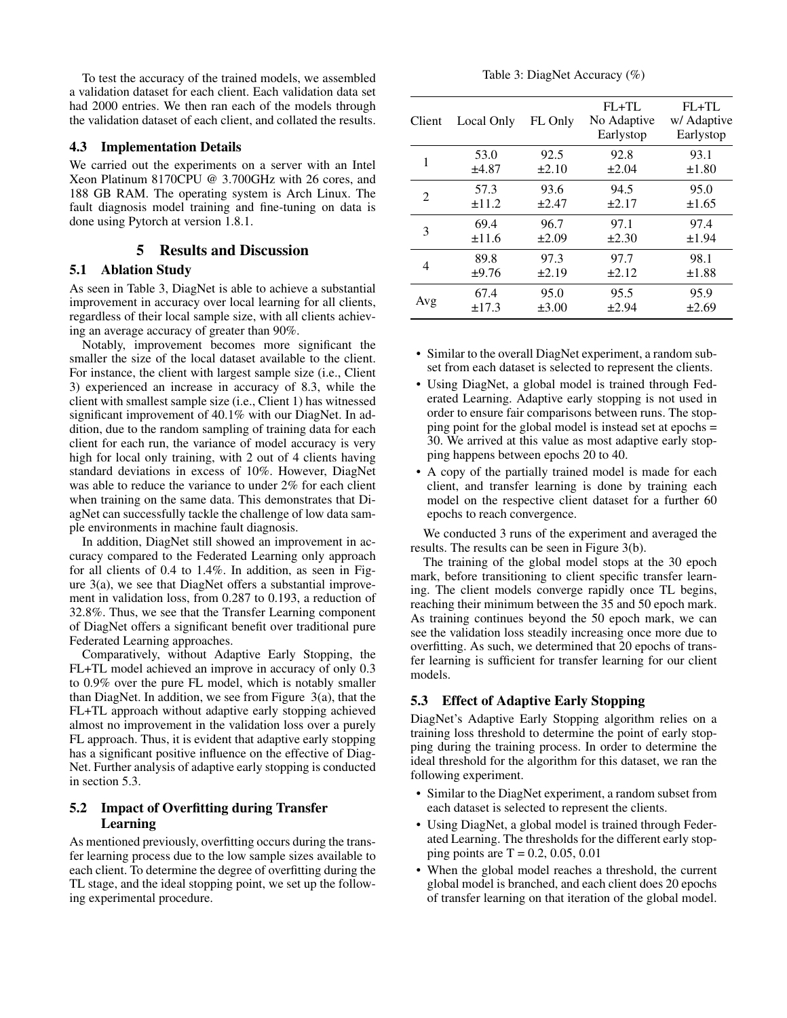To test the accuracy of the trained models, we assembled a validation dataset for each client. Each validation data set had 2000 entries. We then ran each of the models through the validation dataset of each client, and collated the results.

#### 4.3 Implementation Details

We carried out the experiments on a server with an Intel Xeon Platinum 8170CPU @ 3.700GHz with 26 cores, and 188 GB RAM. The operating system is Arch Linux. The fault diagnosis model training and fine-tuning on data is done using Pytorch at version 1.8.1.

### 5 Results and Discussion

#### 5.1 Ablation Study

As seen in Table 3, DiagNet is able to achieve a substantial improvement in accuracy over local learning for all clients, regardless of their local sample size, with all clients achieving an average accuracy of greater than 90%.

Notably, improvement becomes more significant the smaller the size of the local dataset available to the client. For instance, the client with largest sample size (i.e., Client 3) experienced an increase in accuracy of 8.3, while the client with smallest sample size (i.e., Client 1) has witnessed significant improvement of 40.1% with our DiagNet. In addition, due to the random sampling of training data for each client for each run, the variance of model accuracy is very high for local only training, with 2 out of 4 clients having standard deviations in excess of 10%. However, DiagNet was able to reduce the variance to under 2% for each client when training on the same data. This demonstrates that DiagNet can successfully tackle the challenge of low data sample environments in machine fault diagnosis.

In addition, DiagNet still showed an improvement in accuracy compared to the Federated Learning only approach for all clients of 0.4 to 1.4%. In addition, as seen in Figure 3(a), we see that DiagNet offers a substantial improvement in validation loss, from 0.287 to 0.193, a reduction of 32.8%. Thus, we see that the Transfer Learning component of DiagNet offers a significant benefit over traditional pure Federated Learning approaches.

Comparatively, without Adaptive Early Stopping, the FL+TL model achieved an improve in accuracy of only 0.3 to 0.9% over the pure FL model, which is notably smaller than DiagNet. In addition, we see from Figure 3(a), that the FL+TL approach without adaptive early stopping achieved almost no improvement in the validation loss over a purely FL approach. Thus, it is evident that adaptive early stopping has a significant positive influence on the effective of Diag-Net. Further analysis of adaptive early stopping is conducted in section 5.3.

# 5.2 Impact of Overfitting during Transfer Learning

As mentioned previously, overfitting occurs during the transfer learning process due to the low sample sizes available to each client. To determine the degree of overfitting during the TL stage, and the ideal stopping point, we set up the following experimental procedure.

| Client                      | Local Only | FL Only    | $FL+TL$<br>No Adaptive<br>Earlystop | $FL+TL$<br>w/ Adaptive<br>Earlystop |
|-----------------------------|------------|------------|-------------------------------------|-------------------------------------|
| 1                           | 53.0       | 92.5       | 92.8                                | 93.1                                |
|                             | ±4.87      | $\pm 2.10$ | $\pm 2.04$                          | $\pm 1.80$                          |
| $\mathcal{D}_{\mathcal{L}}$ | 57.3       | 93.6       | 94.5                                | 95.0                                |
|                             | ±11.2      | $\pm 2.47$ | $\pm 2.17$                          | ±1.65                               |
| 3                           | 69.4       | 96.7       | 97.1                                | 97.4                                |
|                             | ±11.6      | $\pm 2.09$ | $\pm 2.30$                          | $\pm 1.94$                          |
| 4                           | 89.8       | 97.3       | 97.7                                | 98.1                                |
|                             | ±9.76      | $\pm 2.19$ | $\pm 2.12$                          | $\pm 1.88$                          |
| Avg                         | 67.4       | 95.0       | 95.5                                | 95.9                                |
|                             | $\pm$ 17.3 | $\pm 3.00$ | $\pm 2.94$                          | $\pm 2.69$                          |

- Similar to the overall DiagNet experiment, a random subset from each dataset is selected to represent the clients.
- Using DiagNet, a global model is trained through Federated Learning. Adaptive early stopping is not used in order to ensure fair comparisons between runs. The stopping point for the global model is instead set at epochs = 30. We arrived at this value as most adaptive early stopping happens between epochs 20 to 40.
- A copy of the partially trained model is made for each client, and transfer learning is done by training each model on the respective client dataset for a further 60 epochs to reach convergence.

We conducted 3 runs of the experiment and averaged the results. The results can be seen in Figure 3(b).

The training of the global model stops at the 30 epoch mark, before transitioning to client specific transfer learning. The client models converge rapidly once TL begins, reaching their minimum between the 35 and 50 epoch mark. As training continues beyond the 50 epoch mark, we can see the validation loss steadily increasing once more due to overfitting. As such, we determined that 20 epochs of transfer learning is sufficient for transfer learning for our client models.

# 5.3 Effect of Adaptive Early Stopping

DiagNet's Adaptive Early Stopping algorithm relies on a training loss threshold to determine the point of early stopping during the training process. In order to determine the ideal threshold for the algorithm for this dataset, we ran the following experiment.

- Similar to the DiagNet experiment, a random subset from each dataset is selected to represent the clients.
- Using DiagNet, a global model is trained through Federated Learning. The thresholds for the different early stopping points are  $T = 0.2, 0.05, 0.01$
- When the global model reaches a threshold, the current global model is branched, and each client does 20 epochs of transfer learning on that iteration of the global model.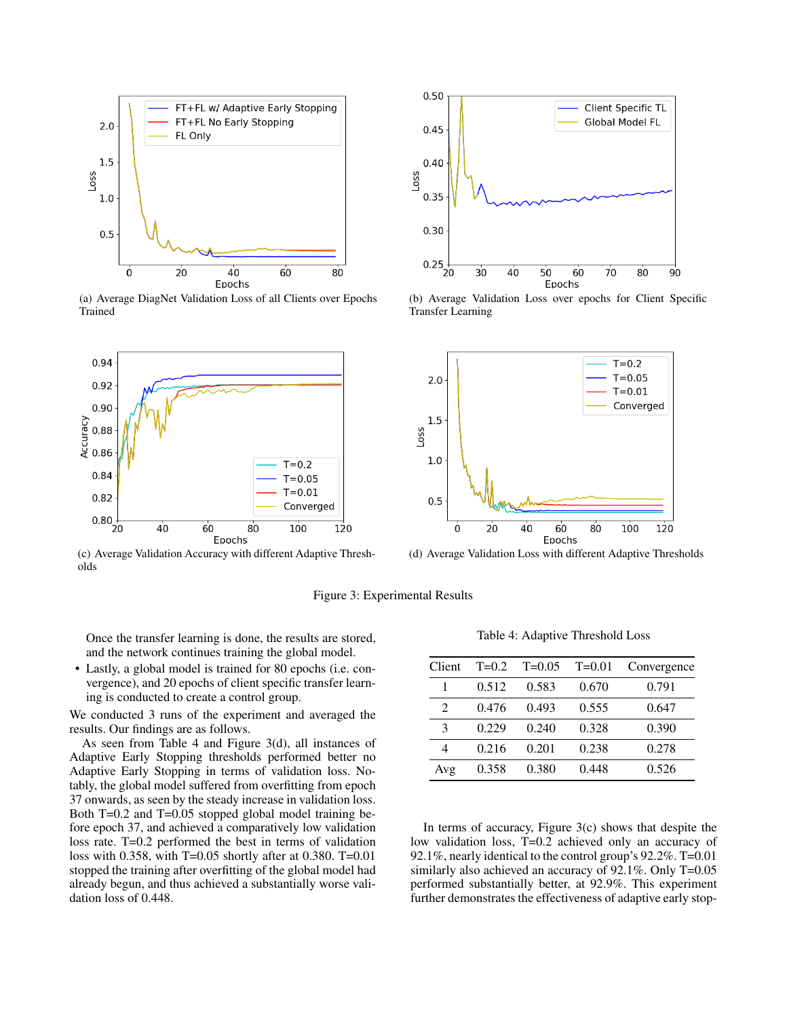

(a) Average DiagNet Validation Loss of all Clients over Epochs Trained



(c) Average Validation Accuracy with different Adaptive Thresholds



(b) Average Validation Loss over epochs for Client Specific Transfer Learning



(d) Average Validation Loss with different Adaptive Thresholds

Figure 3: Experimental Results

Once the transfer learning is done, the results are stored, and the network continues training the global model.

• Lastly, a global model is trained for 80 epochs (i.e. convergence), and 20 epochs of client specific transfer learning is conducted to create a control group.

We conducted 3 runs of the experiment and averaged the results. Our findings are as follows.

As seen from Table 4 and Figure 3(d), all instances of Adaptive Early Stopping thresholds performed better no Adaptive Early Stopping in terms of validation loss. Notably, the global model suffered from overfitting from epoch 37 onwards, as seen by the steady increase in validation loss. Both T=0.2 and T=0.05 stopped global model training before epoch 37, and achieved a comparatively low validation loss rate. T=0.2 performed the best in terms of validation loss with 0.358, with T=0.05 shortly after at 0.380. T=0.01 stopped the training after overfitting of the global model had already begun, and thus achieved a substantially worse validation loss of 0.448.

Table 4: Adaptive Threshold Loss

| Client         | $T=0.2$ | $T=0.05$ | $T = 0.01$ | Convergence |
|----------------|---------|----------|------------|-------------|
|                | 0.512   | 0.583    | 0.670      | 0.791       |
| $\mathfrak{D}$ | 0.476   | 0.493    | 0.555      | 0.647       |
| 3              | 0.229   | 0.240    | 0.328      | 0.390       |
| 4              | 0.216   | 0.201    | 0.238      | 0.278       |
| Avg            | 0.358   | 0.380    | 0.448      | 0.526       |

In terms of accuracy, Figure 3(c) shows that despite the low validation loss, T=0.2 achieved only an accuracy of 92.1%, nearly identical to the control group's 92.2%. T=0.01 similarly also achieved an accuracy of 92.1%. Only T=0.05 performed substantially better, at 92.9%. This experiment further demonstrates the effectiveness of adaptive early stop